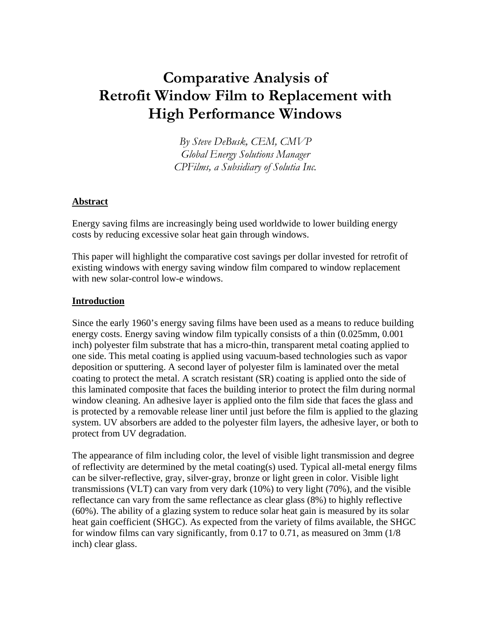# **Comparative Analysis of Retrofit Window Film to Replacement with High Performance Windows**

*By Steve DeBusk, CEM, CMVP Global Energy Solutions Manager CPFilms, a Subsidiary of Solutia Inc.* 

## **Abstract**

Energy saving films are increasingly being used worldwide to lower building energy costs by reducing excessive solar heat gain through windows.

This paper will highlight the comparative cost savings per dollar invested for retrofit of existing windows with energy saving window film compared to window replacement with new solar-control low-e windows.

## **Introduction**

Since the early 1960's energy saving films have been used as a means to reduce building energy costs. Energy saving window film typically consists of a thin (0.025mm, 0.001 inch) polyester film substrate that has a micro-thin, transparent metal coating applied to one side. This metal coating is applied using vacuum-based technologies such as vapor deposition or sputtering. A second layer of polyester film is laminated over the metal coating to protect the metal. A scratch resistant (SR) coating is applied onto the side of this laminated composite that faces the building interior to protect the film during normal window cleaning. An adhesive layer is applied onto the film side that faces the glass and is protected by a removable release liner until just before the film is applied to the glazing system. UV absorbers are added to the polyester film layers, the adhesive layer, or both to protect from UV degradation.

The appearance of film including color, the level of visible light transmission and degree of reflectivity are determined by the metal coating(s) used. Typical all-metal energy films can be silver-reflective, gray, silver-gray, bronze or light green in color. Visible light transmissions (VLT) can vary from very dark (10%) to very light (70%), and the visible reflectance can vary from the same reflectance as clear glass (8%) to highly reflective (60%). The ability of a glazing system to reduce solar heat gain is measured by its solar heat gain coefficient (SHGC). As expected from the variety of films available, the SHGC for window films can vary significantly, from 0.17 to 0.71, as measured on 3mm (1/8 inch) clear glass.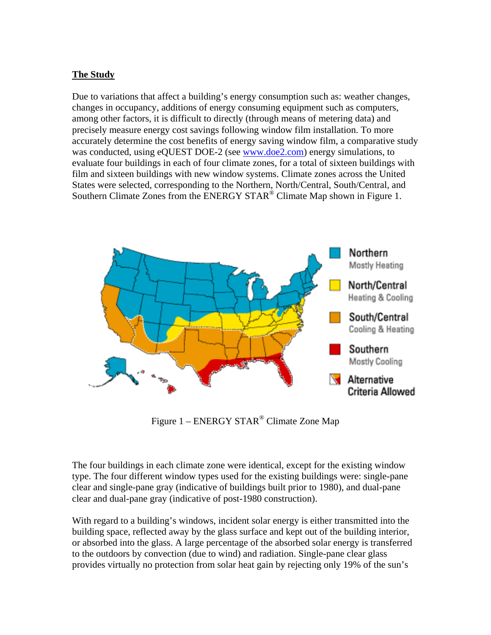## **The Study**

Due to variations that affect a building's energy consumption such as: weather changes, changes in occupancy, additions of energy consuming equipment such as computers, among other factors, it is difficult to directly (through means of metering data) and precisely measure energy cost savings following window film installation. To more accurately determine the cost benefits of energy saving window film, a comparative study was conducted, using eQUEST DOE-2 (see www.doe2.com) energy simulations, to evaluate four buildings in each of four climate zones, for a total of sixteen buildings with film and sixteen buildings with new window systems. Climate zones across the United States were selected, corresponding to the Northern, North/Central, South/Central, and Southern Climate Zones from the ENERGY STAR<sup>®</sup> Climate Map shown in Figure 1.



Figure 1 – ENERGY STAR® Climate Zone Map

The four buildings in each climate zone were identical, except for the existing window type. The four different window types used for the existing buildings were: single-pane clear and single-pane gray (indicative of buildings built prior to 1980), and dual-pane clear and dual-pane gray (indicative of post-1980 construction).

With regard to a building's windows, incident solar energy is either transmitted into the building space, reflected away by the glass surface and kept out of the building interior, or absorbed into the glass. A large percentage of the absorbed solar energy is transferred to the outdoors by convection (due to wind) and radiation. Single-pane clear glass provides virtually no protection from solar heat gain by rejecting only 19% of the sun's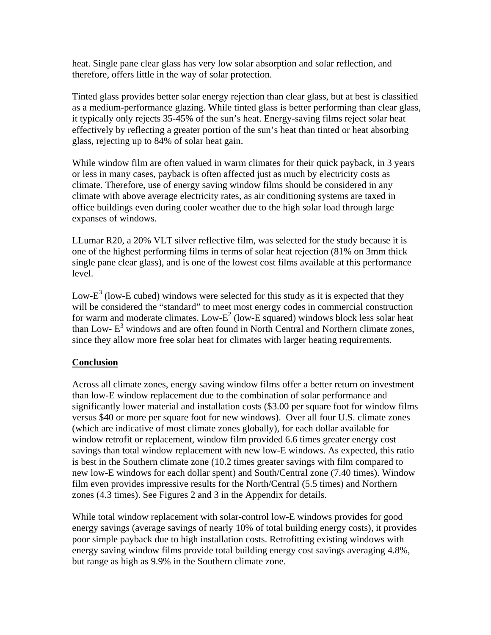heat. Single pane clear glass has very low solar absorption and solar reflection, and therefore, offers little in the way of solar protection.

Tinted glass provides better solar energy rejection than clear glass, but at best is classified as a medium-performance glazing. While tinted glass is better performing than clear glass, it typically only rejects 35-45% of the sun's heat. Energy-saving films reject solar heat effectively by reflecting a greater portion of the sun's heat than tinted or heat absorbing glass, rejecting up to 84% of solar heat gain.

While window film are often valued in warm climates for their quick payback, in 3 years or less in many cases, payback is often affected just as much by electricity costs as climate. Therefore, use of energy saving window films should be considered in any climate with above average electricity rates, as air conditioning systems are taxed in office buildings even during cooler weather due to the high solar load through large expanses of windows.

LLumar R20, a 20% VLT silver reflective film, was selected for the study because it is one of the highest performing films in terms of solar heat rejection (81% on 3mm thick single pane clear glass), and is one of the lowest cost films available at this performance level.

Low- $E<sup>3</sup>$  (low-E cubed) windows were selected for this study as it is expected that they will be considered the "standard" to meet most energy codes in commercial construction for warm and moderate climates. Low- $E^2$  (low-E squared) windows block less solar heat than Low- $E<sup>3</sup>$  windows and are often found in North Central and Northern climate zones, since they allow more free solar heat for climates with larger heating requirements.

## **Conclusion**

Across all climate zones, energy saving window films offer a better return on investment than low-E window replacement due to the combination of solar performance and significantly lower material and installation costs (\$3.00 per square foot for window films versus \$40 or more per square foot for new windows). Over all four U.S. climate zones (which are indicative of most climate zones globally), for each dollar available for window retrofit or replacement, window film provided 6.6 times greater energy cost savings than total window replacement with new low-E windows. As expected, this ratio is best in the Southern climate zone (10.2 times greater savings with film compared to new low-E windows for each dollar spent) and South/Central zone (7.40 times). Window film even provides impressive results for the North/Central (5.5 times) and Northern zones (4.3 times). See Figures 2 and 3 in the Appendix for details.

While total window replacement with solar-control low-E windows provides for good energy savings (average savings of nearly 10% of total building energy costs), it provides poor simple payback due to high installation costs. Retrofitting existing windows with energy saving window films provide total building energy cost savings averaging 4.8%, but range as high as 9.9% in the Southern climate zone.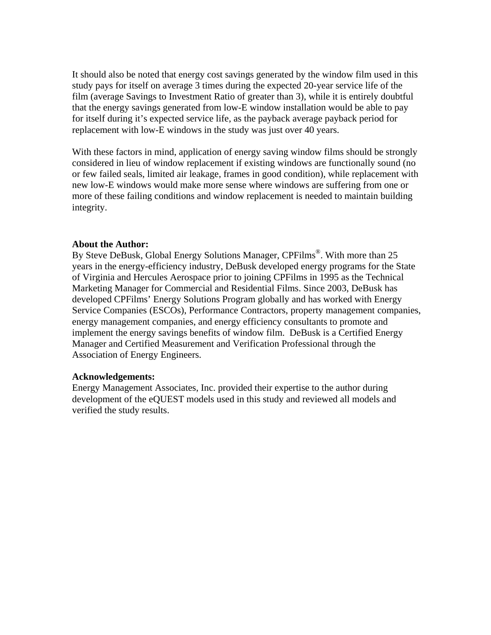It should also be noted that energy cost savings generated by the window film used in this study pays for itself on average 3 times during the expected 20-year service life of the film (average Savings to Investment Ratio of greater than 3), while it is entirely doubtful that the energy savings generated from low-E window installation would be able to pay for itself during it's expected service life, as the payback average payback period for replacement with low-E windows in the study was just over 40 years.

With these factors in mind, application of energy saving window films should be strongly considered in lieu of window replacement if existing windows are functionally sound (no or few failed seals, limited air leakage, frames in good condition), while replacement with new low-E windows would make more sense where windows are suffering from one or more of these failing conditions and window replacement is needed to maintain building integrity.

## **About the Author:**

By Steve DeBusk, Global Energy Solutions Manager, CPFilms<sup>®</sup>. With more than 25 years in the energy-efficiency industry, DeBusk developed energy programs for the State of Virginia and Hercules Aerospace prior to joining CPFilms in 1995 as the Technical Marketing Manager for Commercial and Residential Films. Since 2003, DeBusk has developed CPFilms' Energy Solutions Program globally and has worked with Energy Service Companies (ESCOs), Performance Contractors, property management companies, energy management companies, and energy efficiency consultants to promote and implement the energy savings benefits of window film. DeBusk is a Certified Energy Manager and Certified Measurement and Verification Professional through the Association of Energy Engineers.

## **Acknowledgements:**

Energy Management Associates, Inc. provided their expertise to the author during development of the eQUEST models used in this study and reviewed all models and verified the study results.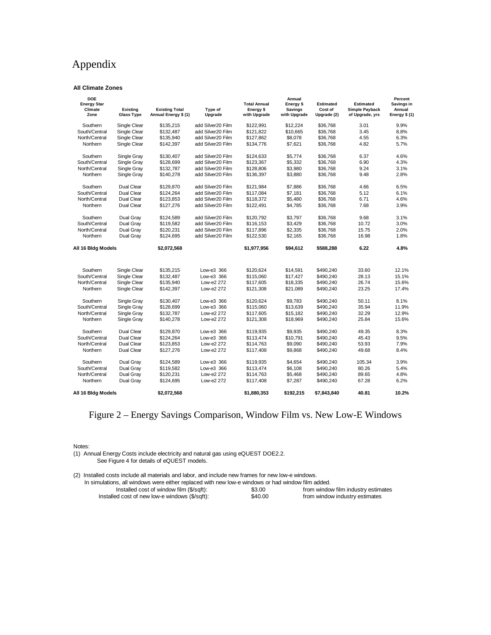## Appendix

### **All Climate Zones**

| <b>DOE</b><br><b>Energy Star</b><br>Climate<br>Zone | <b>Existing</b><br><b>Glass Type</b> | <b>Existing Total</b><br>Annual Energy \$ (1) | Type of<br>Upgrade | <b>Total Annual</b><br>Energy \$<br>with Upgrade | Annual<br>Energy \$<br><b>Savings</b><br>with Upgrade | <b>Estimated</b><br>Cost of<br>Upgrade (2) | <b>Estimated</b><br>Simple Payback<br>of Upgrade, yrs | Percent<br>Savings in<br>Annual<br>Energy \$ (1) |
|-----------------------------------------------------|--------------------------------------|-----------------------------------------------|--------------------|--------------------------------------------------|-------------------------------------------------------|--------------------------------------------|-------------------------------------------------------|--------------------------------------------------|
| Southern                                            | Single Clear                         | \$135,215                                     | add Silver20 Film  | \$122,991                                        | \$12,224                                              | \$36,768                                   | 3.01                                                  | 9.9%                                             |
| South/Central                                       | Single Clear                         | \$132,487                                     | add Silver20 Film  | \$121,822                                        | \$10,665                                              | \$36,768                                   | 3.45                                                  | 8.8%                                             |
| North/Central                                       | Single Clear                         | \$135,940                                     | add Silver20 Film  | \$127,862                                        | \$8,078                                               | \$36,768                                   | 4.55                                                  | 6.3%                                             |
| Northern                                            | Single Clear                         | \$142,397                                     | add Silver20 Film  | \$134,776                                        | \$7,621                                               | \$36,768                                   | 4.82                                                  | 5.7%                                             |
| Southern                                            | Single Gray                          | \$130,407                                     | add Silver20 Film  | \$124,633                                        | \$5,774                                               | \$36,768                                   | 6.37                                                  | 4.6%                                             |
| South/Central                                       | Single Gray                          | \$128,699                                     | add Silver20 Film  | \$123,367                                        | \$5,332                                               | \$36,768                                   | 6.90                                                  | 4.3%                                             |
| North/Central                                       | Single Gray                          | \$132,787                                     | add Silver20 Film  | \$128,806                                        | \$3,980                                               | \$36,768                                   | 9.24                                                  | 3.1%                                             |
| Northern                                            | Single Gray                          | \$140,278                                     | add Silver20 Film  | \$136,397                                        | \$3,880                                               | \$36,768                                   | 9.48                                                  | 2.8%                                             |
| Southern                                            | Dual Clear                           | \$129.870                                     | add Silver20 Film  | \$121.984                                        | \$7.886                                               | \$36.768                                   | 4.66                                                  | 6.5%                                             |
| South/Central                                       | Dual Clear                           | \$124,264                                     | add Silver20 Film  | \$117.084                                        | \$7,181                                               | \$36.768                                   | 5.12                                                  | 6.1%                                             |
| North/Central                                       | Dual Clear                           | \$123,853                                     | add Silver20 Film  | \$118.372                                        | \$5,480                                               | \$36.768                                   | 6.71                                                  | 4.6%                                             |
| Northern                                            | <b>Dual Clear</b>                    | \$127,276                                     | add Silver20 Film  | \$122,491                                        | \$4,785                                               | \$36,768                                   | 7.68                                                  | 3.9%                                             |
| Southern                                            | Dual Gray                            | \$124,589                                     | add Silver20 Film  | \$120,792                                        | \$3,797                                               | \$36,768                                   | 9.68                                                  | 3.1%                                             |
| South/Central                                       | Dual Gray                            | \$119,582                                     | add Silver20 Film  | \$116,153                                        | \$3,429                                               | \$36,768                                   | 10.72                                                 | 3.0%                                             |
| North/Central                                       | Dual Gray                            | \$120,231                                     | add Silver20 Film  | \$117,896                                        | \$2,335                                               | \$36,768                                   | 15.75                                                 | 2.0%                                             |
| Northern                                            | Dual Gray                            | \$124,695                                     | add Silver20 Film  | \$122,530                                        | \$2,165                                               | \$36,768                                   | 16.98                                                 | 1.8%                                             |
| All 16 Bidg Models                                  |                                      | \$2,072,568                                   |                    | \$1,977,956                                      | \$94,612                                              | \$588,288                                  | 6.22                                                  | 4.8%                                             |
|                                                     |                                      |                                               |                    |                                                  |                                                       |                                            |                                                       |                                                  |
| Southern                                            | Single Clear                         | \$135.215                                     | Low-e3 366         | \$120.624                                        | \$14,591                                              | \$490.240                                  | 33.60                                                 | 12.1%                                            |
| South/Central                                       | Single Clear                         | \$132,487                                     | Low-e3 366         | \$115,060                                        | \$17,427                                              | \$490,240                                  | 28.13                                                 | 15.1%                                            |
| North/Central                                       | Single Clear                         | \$135,940                                     | Low-e2 272         | \$117,605                                        | \$18,335                                              | \$490.240                                  | 26.74                                                 | 15.6%                                            |
| Northern                                            | Single Clear                         | \$142,397                                     | Low-e2 272         | \$121,308                                        | \$21,089                                              | \$490,240                                  | 23.25                                                 | 17.4%                                            |
| Southern                                            | Single Gray                          | \$130,407                                     | Low-e3 366         | \$120,624                                        | \$9,783                                               | \$490,240                                  | 50.11                                                 | 8.1%                                             |
| South/Central                                       | Single Gray                          | \$128,699                                     | Low-e3 366         | \$115,060                                        | \$13,639                                              | \$490,240                                  | 35.94                                                 | 11.9%                                            |
| North/Central                                       | Single Gray                          | \$132,787                                     | Low-e2 272         | \$117,605                                        | \$15,182                                              | \$490,240                                  | 32.29                                                 | 12.9%                                            |
| Northern                                            | Single Gray                          | \$140,278                                     | Low-e2 272         | \$121,308                                        | \$18,969                                              | \$490,240                                  | 25.84                                                 | 15.6%                                            |
| Southern                                            | <b>Dual Clear</b>                    | \$129.870                                     | Low-e3 366         | \$119.935                                        | \$9.935                                               | \$490.240                                  | 49.35                                                 | 8.3%                                             |
| South/Central                                       | <b>Dual Clear</b>                    | \$124,264                                     | Low-e3 366         | \$113,474                                        | \$10,791                                              | \$490,240                                  | 45.43                                                 | 9.5%                                             |
| North/Central                                       | Dual Clear                           | \$123.853                                     | Low-e2 272         | \$114.763                                        | \$9,090                                               | \$490.240                                  | 53.93                                                 | 7.9%                                             |
| Northern                                            | <b>Dual Clear</b>                    | \$127,276                                     | Low-e2 272         | \$117,408                                        | \$9,868                                               | \$490,240                                  | 49.68                                                 | 8.4%                                             |
| Southern                                            | Dual Gray                            | \$124,589                                     | Low-e3 366         | \$119,935                                        | \$4,654                                               | \$490.240                                  | 105.34                                                | 3.9%                                             |
| South/Central                                       | Dual Gray                            | \$119,582                                     | Low-e3 366         | \$113,474                                        | \$6,108                                               | \$490,240                                  | 80.26                                                 | 5.4%                                             |
| North/Central                                       | Dual Gray                            | \$120,231                                     | Low-e2 272         | \$114,763                                        | \$5,468                                               | \$490.240                                  | 89.65                                                 | 4.8%                                             |
| Northern                                            | Dual Gray                            | \$124,695                                     | Low-e2 272         | \$117,408                                        | \$7,287                                               | \$490,240                                  | 67.28                                                 | 6.2%                                             |
| All 16 Bldg Models                                  |                                      | \$2.072.568                                   |                    | \$1.880.353                                      | \$192.215                                             | \$7.843.840                                | 40.81                                                 | 10.2%                                            |

## Figure 2 – Energy Savings Comparison, Window Film vs. New Low-E Windows

Notes:

(1) Annual Energy Costs include electricity and natural gas using eQUEST DOE2.2. See Figure 4 for details of eQUEST models.

(2) Installed costs include all materials and labor, and include new frames for new low-e windows.

In simulations, all windows were either replaced with new low-e windows or had window film added.<br>Installed cost of window film (\$/sqft): \$3.00 from window \$3.00 from window film industry estimates<br>\$40.00 from window industry estimates  $Instead that it is now a new low-e windows ( $$\sqrt$sqrt$100$$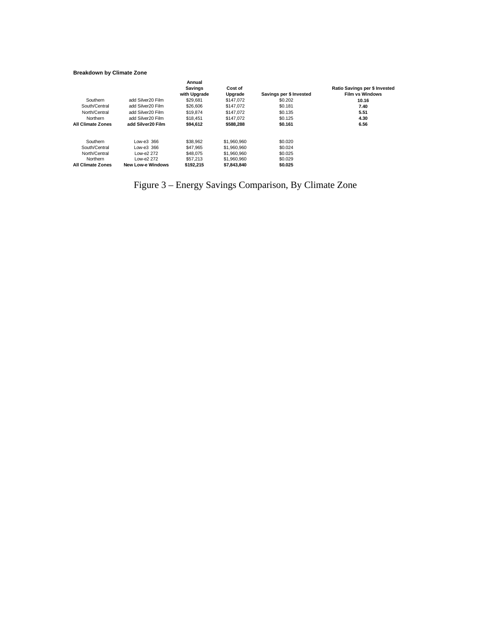### **Breakdown by Climate Zone**

| Southern                 | add Silver20 Film        | Annual<br><b>Savings</b><br>with Upgrade<br>\$29,681 | Cost of<br>Upgrade<br>\$147,072 | Savings per \$ Invested<br>\$0.202 | Ratio Savings per \$ Invested<br><b>Film vs Windows</b><br>10.16 |
|--------------------------|--------------------------|------------------------------------------------------|---------------------------------|------------------------------------|------------------------------------------------------------------|
| South/Central            | add Silver20 Film        | \$26,606                                             | \$147,072                       | \$0.181                            | 7.40                                                             |
| North/Central            | add Silver20 Film        | \$19,874                                             | \$147.072                       | \$0.135                            | 5.51                                                             |
| Northern                 | add Silver20 Film        | \$18,451                                             | \$147,072                       | \$0.125                            | 4.30                                                             |
| <b>All Climate Zones</b> | add Silver20 Film        | \$94.612                                             | \$588.288                       | \$0.161                            | 6.56                                                             |
| Southern                 | Low-e3 366               | \$38.962                                             | \$1,960,960                     | \$0,020                            |                                                                  |
| South/Central            | Low-e3 366               | \$47.965                                             | \$1,960,960                     | \$0.024                            |                                                                  |
| North/Central            | Low-e2 272               | \$48,075                                             | \$1,960,960                     | \$0.025                            |                                                                  |
| Northern                 | Low-e2 272               | \$57,213                                             | \$1,960,960                     | \$0.029                            |                                                                  |
| <b>All Climate Zones</b> | <b>New Low-e Windows</b> | \$192.215                                            | \$7.843.840                     | \$0.025                            |                                                                  |

Figure 3 – Energy Savings Comparison, By Climate Zone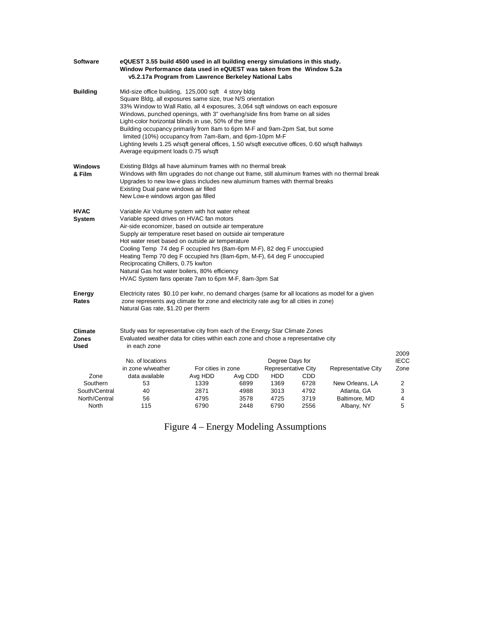| <b>Software</b>                        | eQUEST 3.55 build 4500 used in all building energy simulations in this study.<br>Window Performance data used in eQUEST was taken from the Window 5.2a<br>v5.2.17a Program from Lawrence Berkeley National Labs                                                                                                                                                                                                                                                                                                                                                                                                                  |                               |              |                                                      |              |                     |                             |  |
|----------------------------------------|----------------------------------------------------------------------------------------------------------------------------------------------------------------------------------------------------------------------------------------------------------------------------------------------------------------------------------------------------------------------------------------------------------------------------------------------------------------------------------------------------------------------------------------------------------------------------------------------------------------------------------|-------------------------------|--------------|------------------------------------------------------|--------------|---------------------|-----------------------------|--|
| <b>Building</b>                        | Mid-size office building, 125,000 sqft 4 story bldg<br>Square Bldg, all exposures same size, true N/S orientation<br>33% Window to Wall Ratio, all 4 exposures, 3,064 sqft windows on each exposure<br>Windows, punched openings, with 3" overhang/side fins from frame on all sides<br>Light-color horizontal blinds in use, 50% of the time<br>Building occupancy primarily from 8am to 6pm M-F and 9am-2pm Sat, but some<br>limited (10%) occupancy from 7am-8am, and 6pm-10pm M-F<br>Lighting levels 1.25 w/sqft general offices, 1.50 w/sqft executive offices, 0.60 w/sqft hallways<br>Average equipment loads 0.75 w/sqft |                               |              |                                                      |              |                     |                             |  |
| <b>Windows</b><br>& Film               | Existing Bldgs all have aluminum frames with no thermal break<br>Windows with film upgrades do not change out frame, still aluminum frames with no thermal break<br>Upgrades to new low-e glass includes new aluminum frames with thermal breaks<br>Existing Dual pane windows air filled<br>New Low-e windows argon gas filled                                                                                                                                                                                                                                                                                                  |                               |              |                                                      |              |                     |                             |  |
| <b>HVAC</b><br>System                  | Variable Air Volume system with hot water reheat<br>Variable speed drives on HVAC fan motors<br>Air-side economizer, based on outside air temperature<br>Supply air temperature reset based on outside air temperature<br>Hot water reset based on outside air temperature<br>Cooling Temp 74 deg F occupied hrs (8am-6pm M-F), 82 deg F unoccupied<br>Heating Temp 70 deg F occupied hrs (8am-6pm, M-F), 64 deg F unoccupied<br>Reciprocating Chillers, 0.75 kw/ton<br>Natural Gas hot water boilers, 80% efficiency<br>HVAC System fans operate 7am to 6pm M-F, 8am-3pm Sat                                                    |                               |              |                                                      |              |                     |                             |  |
| Energy<br>Rates                        | Electricity rates \$0.10 per kwhr, no demand charges (same for all locations as model for a given<br>zone represents avg climate for zone and electricity rate avg for all cities in zone)<br>Natural Gas rate, \$1.20 per therm                                                                                                                                                                                                                                                                                                                                                                                                 |                               |              |                                                      |              |                     |                             |  |
| <b>Climate</b><br><b>Zones</b><br>Used | Study was for representative city from each of the Energy Star Climate Zones<br>Evaluated weather data for cities within each zone and chose a representative city<br>in each zone                                                                                                                                                                                                                                                                                                                                                                                                                                               |                               |              |                                                      |              |                     |                             |  |
| Zone                                   | No. of locations<br>in zone w/weather<br>data available                                                                                                                                                                                                                                                                                                                                                                                                                                                                                                                                                                          | For cities in zone<br>Avg HDD | Avg CDD      | Degree Days for<br>Representative City<br><b>HDD</b> | CDD          | Representative City | 2009<br><b>IECC</b><br>Zone |  |
| Southern                               | 53                                                                                                                                                                                                                                                                                                                                                                                                                                                                                                                                                                                                                               | 1339                          | 6899         | 1369                                                 | 6728         | New Orleans, LA     | 2                           |  |
| South/Central                          | 40                                                                                                                                                                                                                                                                                                                                                                                                                                                                                                                                                                                                                               | 2871                          | 4988         | 3013                                                 | 4792         | Atlanta, GA         | 3                           |  |
| North/Central                          | 56                                                                                                                                                                                                                                                                                                                                                                                                                                                                                                                                                                                                                               | 4795<br>6790                  | 3578<br>2448 | 4725                                                 | 3719<br>2556 | Baltimore, MD       | 4<br>5                      |  |
| North                                  | 115                                                                                                                                                                                                                                                                                                                                                                                                                                                                                                                                                                                                                              |                               |              | 6790                                                 |              | Albany, NY          |                             |  |

Figure 4 – Energy Modeling Assumptions